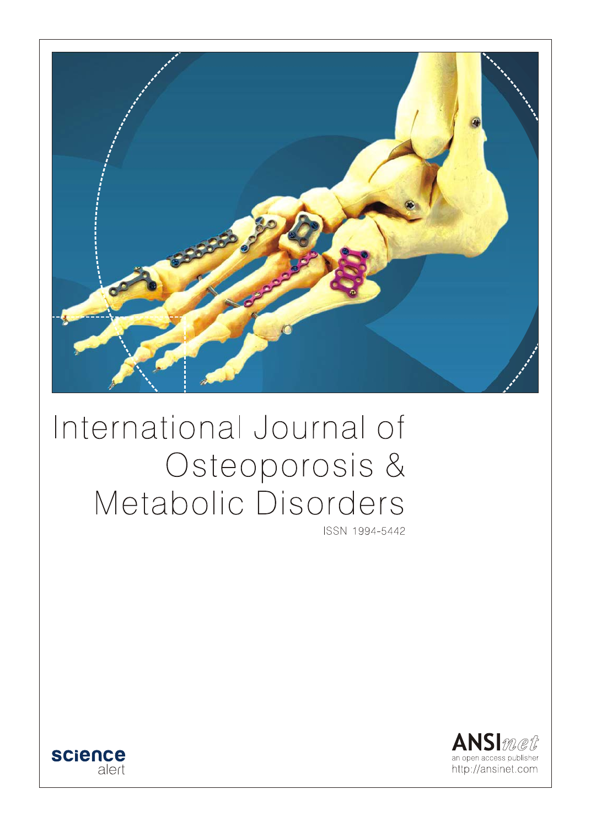

# International Journal of Osteoporosis & Metabolic Disorders

ISSN 1994-5442



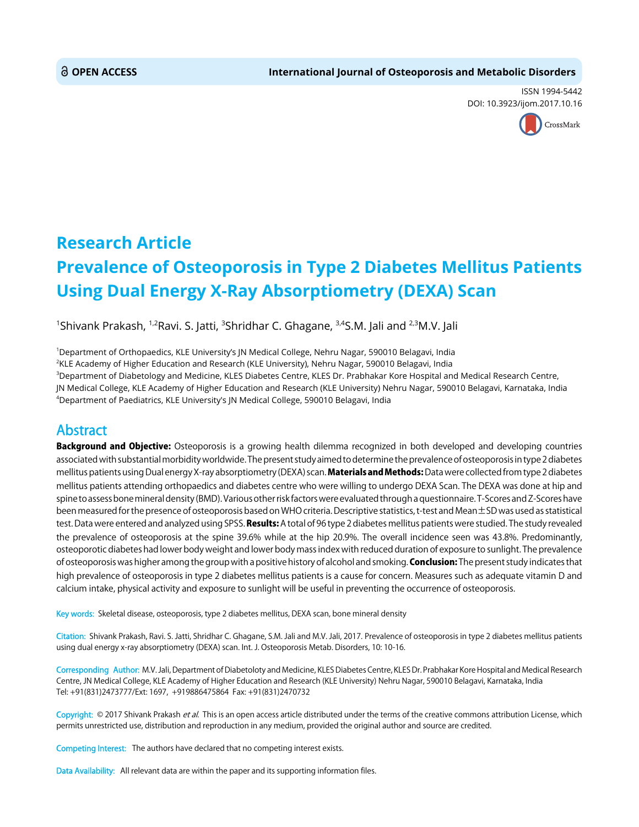ISSN 1994-5442 DOI: 10.3923/ijom.2017.10.16



## **Research Article Prevalence of Osteoporosis in Type 2 Diabetes Mellitus Patients Using Dual Energy X-Ray Absorptiometry (DEXA) Scan**

 $^{\text{\tiny{1}}}$ Shivank Prakash,  $^{\text{\tiny{1,2}}}$ Ravi. S. Jatti,  $^{\text{\tiny{3}}}$ Shridhar C. Ghagane,  $^{\text{\tiny{3,4}}}$ S.M. Jali and  $^{\text{\tiny{2,3}}}$ M.V. Jali

 Department of Orthopaedics, KLE University's JN Medical College, Nehru Nagar, 590010 Belagavi, India KLE Academy of Higher Education and Research (KLE University), Nehru Nagar, 590010 Belagavi, India Department of Diabetology and Medicine, KLES Diabetes Centre, KLES Dr. Prabhakar Kore Hospital and Medical Research Centre, JN Medical College, KLE Academy of Higher Education and Research (KLE University) Nehru Nagar, 590010 Belagavi, Karnataka, India

4 Department of Paediatrics, KLE University's JN Medical College, 590010 Belagavi, India

### Abstract

**Background and Objective:** Osteoporosis is a growing health dilemma recognized in both developed and developing countries associated with substantial morbidity worldwide. The present study aimed to determine the prevalence of osteoporosis in type 2 diabetes mellitus patients using Dual energy X-ray absorptiometry (DEXA) scan. Materials and Methods: Data were collected from type 2 diabetes mellitus patients attending orthopaedics and diabetes centre who were willing to undergo DEXA Scan. The DEXA was done at hip and spine to assess bone mineral density (BMD). Various other risk factors were evaluated through a questionnaire. T-Scores and Z-Scores have been measured for the presence of osteoporosis based on WHO criteria. Descriptive statistics, t-test and Mean±SD was used as statistical test. Data were entered and analyzed using SPSS. Results: A total of 96 type 2 diabetes mellitus patients were studied. The study revealed the prevalence of osteoporosis at the spine 39.6% while at the hip 20.9%. The overall incidence seen was 43.8%. Predominantly, osteoporotic diabetes had lower body weight and lower body mass index with reduced duration of exposure to sunlight. The prevalence of osteoporosis was higher among the group with a positive history of alcohol and smoking. Conclusion: The present study indicates that high prevalence of osteoporosis in type 2 diabetes mellitus patients is a cause for concern. Measures such as adequate vitamin D and calcium intake, physical activity and exposure to sunlight will be useful in preventing the occurrence of osteoporosis.

Key words: Skeletal disease, osteoporosis, type 2 diabetes mellitus, DEXA scan, bone mineral density

Citation: Shivank Prakash, Ravi. S. Jatti, Shridhar C. Ghagane, S.M. Jali and M.V. Jali, 2017. Prevalence of osteoporosis in type 2 diabetes mellitus patients using dual energy x-ray absorptiometry (DEXA) scan. Int. J. Osteoporosis Metab. Disorders, 10: 10-16.

Corresponding Author: M.V. Jali, Department of Diabetoloty and Medicine, KLES Diabetes Centre, KLES Dr. Prabhakar Kore Hospital and Medical Research Centre, JN Medical College, KLE Academy of Higher Education and Research (KLE University) Nehru Nagar, 590010 Belagavi, Karnataka, India Tel: +91(831)2473777/Ext: 1697, +919886475864 Fax: +91(831)2470732

Copyright: © 2017 Shivank Prakash et al. This is an open access article distributed under the terms of the creative commons attribution License, which permits unrestricted use, distribution and reproduction in any medium, provided the original author and source are credited.

Competing Interest: The authors have declared that no competing interest exists.

Data Availability: All relevant data are within the paper and its supporting information files.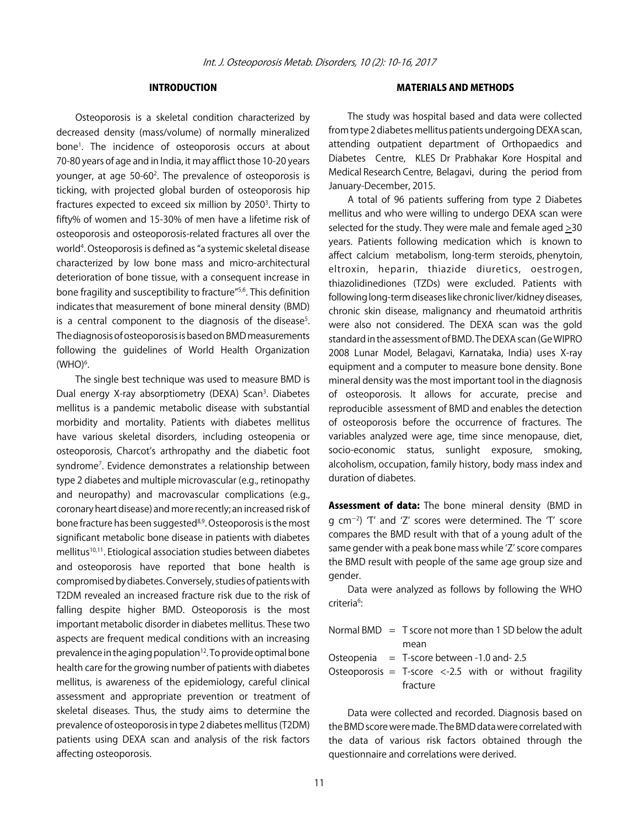#### INTRODUCTION

Osteoporosis is a skeletal condition characterized by decreased density (mass/volume) of normally mineralized bone1 . The incidence of osteoporosis occurs at about 70-80 years of age and in India, it may afflict those 10-20 years younger, at age 50-60<sup>2</sup>. The prevalence of osteoporosis is ticking, with projected global burden of osteoporosis hip fractures expected to exceed six million by 2050<sup>3</sup>. Thirty to fifty% of women and 15-30% of men have a lifetime risk of osteoporosis and osteoporosis-related fractures all over the world<sup>4</sup>. Osteoporosis is defined as "a systemic skeletal disease characterized by low bone mass and micro-architectural deterioration of bone tissue, with a consequent increase in bone fragility and susceptibility to fracture"5,6. This definition indicates that measurement of bone mineral density (BMD) is a central component to the diagnosis of the disease<sup>5</sup>. The diagnosis of osteoporosis is based on BMD measurements following the guidelines of World Health Organization  $(WHO)<sup>6</sup>$ .

The single best technique was used to measure BMD is Dual energy X-ray absorptiometry (DEXA) Scan<sup>3</sup>. Diabetes mellitus is a pandemic metabolic disease with substantial morbidity and mortality. Patients with diabetes mellitus have various skeletal disorders, including osteopenia or osteoporosis, Charcot's arthropathy and the diabetic foot syndrome7 . Evidence demonstrates a relationship between type 2 diabetes and multiple microvascular (e.g., retinopathy and neuropathy) and macrovascular complications (e.g., coronary heart disease) and more recently; an increased risk of bone fracture has been suggested<sup>8,9</sup>. Osteoporosis is the most significant metabolic bone disease in patients with diabetes mellitus<sup>10,11</sup>. Etiological association studies between diabetes and osteoporosis have reported that bone health is compromised by diabetes. Conversely, studies of patients with T2DM revealed an increased fracture risk due to the risk of falling despite higher BMD. Osteoporosis is the most important metabolic disorder in diabetes mellitus. These two aspects are frequent medical conditions with an increasing prevalence in the aging population<sup>12</sup>. To provide optimal bone health care for the growing number of patients with diabetes mellitus, is awareness of the epidemiology, careful clinical assessment and appropriate prevention or treatment of skeletal diseases. Thus, the study aims to determine the prevalence of osteoporosis in type 2 diabetes mellitus (T2DM) patients using DEXA scan and analysis of the risk factors affecting osteoporosis.

#### MATERIALS AND METHODS

The study was hospital based and data were collected from type 2 diabetes mellitus patients undergoing DEXA scan, attending outpatient department of Orthopaedics and Diabetes Centre, KLES Dr Prabhakar Kore Hospital and Medical Research Centre, Belagavi, during the period from January-December, 2015.

A total of 96 patients suffering from type 2 Diabetes mellitus and who were willing to undergo DEXA scan were selected for the study. They were male and female aged >30 years. Patients following medication which is known to affect calcium metabolism, long-term steroids, phenytoin, eltroxin, heparin, thiazide diuretics, oestrogen, thiazolidinediones (TZDs) were excluded. Patients with following long-term diseases like chronic liver/kidney diseases, chronic skin disease, malignancy and rheumatoid arthritis were also not considered. The DEXA scan was the gold standard in the assessment of BMD. The DEXA scan (Ge WIPRO 2008 Lunar Model, Belagavi, Karnataka, India) uses X-ray equipment and a computer to measure bone density. Bone mineral density was the most important tool in the diagnosis of osteoporosis. It allows for accurate, precise and reproducible assessment of BMD and enables the detection of osteoporosis before the occurrence of fractures. The variables analyzed were age, time since menopause, diet, socio-economic status, sunlight exposure, smoking, alcoholism, occupation, family history, body mass index and duration of diabetes.

Assessment of data: The bone mineral density (BMD in g cm $^{-2}$ ) 'T' and 'Z' scores were determined. The 'T' score compares the BMD result with that of a young adult of the same gender with a peak bone mass while ʻZ' score compares the BMD result with people of the same age group size and gender.

Data were analyzed as follows by following the WHO criteria<sup>6</sup>:

|                                                                 | Normal BMD $=$ T score not more than 1 SD below the adult |  |  |  |  |
|-----------------------------------------------------------------|-----------------------------------------------------------|--|--|--|--|
|                                                                 | mean                                                      |  |  |  |  |
|                                                                 | Osteopenia $=$ T-score between -1.0 and-2.5               |  |  |  |  |
| Osteoporosis = T-score $\langle$ -2.5 with or without fragility |                                                           |  |  |  |  |
|                                                                 | fracture                                                  |  |  |  |  |

Data were collected and recorded. Diagnosis based on the BMD score were made. The BMD data were correlated with the data of various risk factors obtained through the questionnaire and correlations were derived.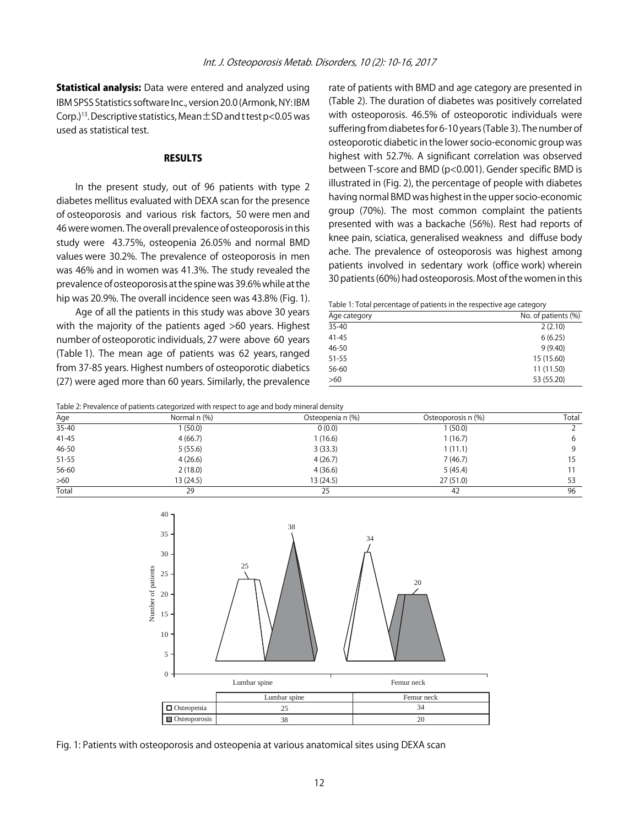**Statistical analysis:** Data were entered and analyzed using IBM SPSS Statistics software Inc., version 20.0 (Armonk, NY: IBM Corp.)<sup>13</sup>. Descriptive statistics, Mean  $\pm$  SD and t test p<0.05 was used as statistical test.

#### RESULTS

In the present study, out of 96 patients with type 2 diabetes mellitus evaluated with DEXA scan for the presence of osteoporosis and various risk factors, 50 were men and 46 were women. The overall prevalence of osteoporosis in this study were 43.75%, osteopenia 26.05% and normal BMD values were 30.2%. The prevalence of osteoporosis in men was 46% and in women was 41.3%. The study revealed the prevalence of osteoporosis at the spine was 39.6% while at the hip was 20.9%. The overall incidence seen was 43.8% (Fig. 1).

Age of all the patients in this study was above 30 years with the majority of the patients aged >60 years. Highest number of osteoporotic individuals, 27 were above 60 years (Table 1). The mean age of patients was 62 years, ranged from 37-85 years. Highest numbers of osteoporotic diabetics (27) were aged more than 60 years. Similarly, the prevalence rate of patients with BMD and age category are presented in (Table 2). The duration of diabetes was positively correlated with osteoporosis. 46.5% of osteoporotic individuals were suffering from diabetes for 6-10 years (Table 3). The number of osteoporotic diabetic in the lower socio-economic group was highest with 52.7%. A significant correlation was observed between T-score and BMD (p<0.001). Gender specific BMD is illustrated in (Fig. 2), the percentage of people with diabetes having normal BMD was highest in the upper socio-economic group (70%). The most common complaint the patients presented with was a backache (56%). Rest had reports of knee pain, sciatica, generalised weakness and diffuse body ache. The prevalence of osteoporosis was highest among patients involved in sedentary work (office work) wherein 30 patients (60%) had osteoporosis. Most of the women in this

Table 1: Total percentage of patients in the respective age category

| Age category | No. of patients (%) |
|--------------|---------------------|
| $35 - 40$    | 2(2.10)             |
| $41 - 45$    | 6(6.25)             |
| $46 - 50$    | 9(9.40)             |
| $51 - 55$    | 15 (15.60)          |
| 56-60        | 11 (11.50)          |
| >60          | 53 (55.20)          |

Table 2: Prevalence of patients categorized with respect to age and body mineral density

| Age       | Normal n (%) | Osteopenia n (%) | Osteoporosis n (%) | Total |
|-----------|--------------|------------------|--------------------|-------|
| 35-40     | 1 (50.0)     | 0(0.0)           | (50.0)             |       |
| $41 - 45$ | 4(66.7)      | 1(16.6)          | 1(16.7)            | 6     |
| 46-50     | 5(55.6)      | 3(33.3)          | 1(11.1)            | 9     |
| 51-55     | 4(26.6)      | 4(26.7)          | 7(46.7)            | 15    |
| 56-60     | 2(18.0)      | 4(36.6)          | 5(45.4)            |       |
| $>60$     | 13 (24.5)    | 13 (24.5)        | 27(51.0)           | 53    |
| Total     | 29           | 25               | 42                 | 96    |



Fig. 1: Patients with osteoporosis and osteopenia at various anatomical sites using DEXA scan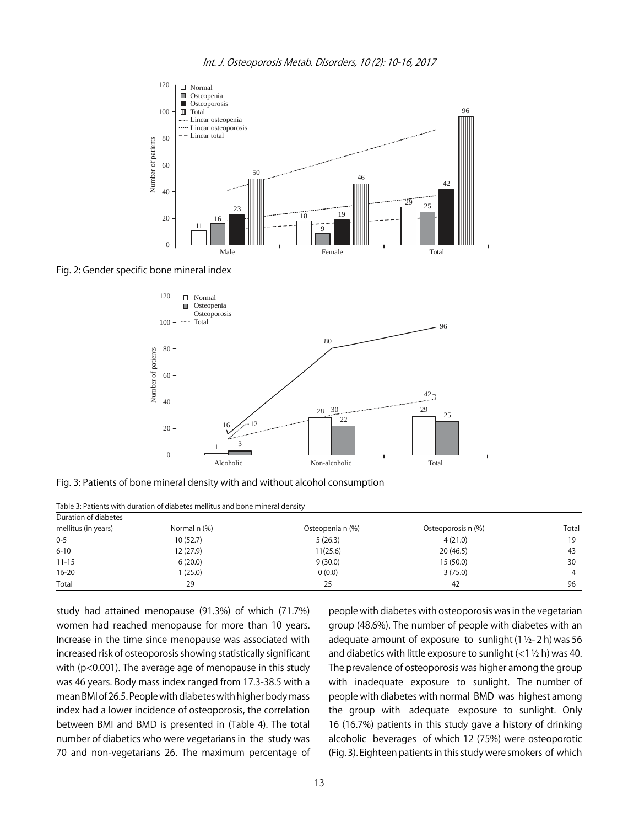

Fig. 2: Gender specific bone mineral index



Fig. 3: Patients of bone mineral density with and without alcohol consumption

| Duration of diabetes |              |                  |                    |       |  |  |
|----------------------|--------------|------------------|--------------------|-------|--|--|
| mellitus (in years)  | Normal n (%) | Osteopenia n (%) | Osteoporosis n (%) | Total |  |  |
| $0 - 5$              | 10 (52.7)    | 5(26.3)          | 4(21.0)            | 19    |  |  |
| $6 - 10$             | 12 (27.9)    | 11(25.6)         | 20(46.5)           | 43    |  |  |
| $11 - 15$            | 6(20.0)      | 9(30.0)          | 15(50.0)           | 30    |  |  |
| $16 - 20$            | (25.0)       | 0(0.0)           | 3(75.0)            | 4     |  |  |
| Total                | 29           | 25               | 42                 | 96    |  |  |
|                      |              |                  |                    |       |  |  |

Table 3: Patients with duration of diabetes mellitus and bone mineral density

study had attained menopause (91.3%) of which (71.7%) women had reached menopause for more than 10 years. Increase in the time since menopause was associated with increased risk of osteoporosis showing statistically significant with (p<0.001). The average age of menopause in this study was 46 years. Body mass index ranged from 17.3-38.5 with a mean BMI of 26.5. People with diabetes with higher body mass index had a lower incidence of osteoporosis, the correlation between BMI and BMD is presented in (Table 4). The total number of diabetics who were vegetarians in the study was 70 and non-vegetarians 26. The maximum percentage of people with diabetes with osteoporosis was in the vegetarian group (48.6%). The number of people with diabetes with an adequate amount of exposure to sunlight  $(1 \frac{1}{2} - 2 h)$  was 56 and diabetics with little exposure to sunlight  $(<1$  <sup>1</sup>/<sub>2</sub> h) was 40. The prevalence of osteoporosis was higher among the group with inadequate exposure to sunlight. The number of people with diabetes with normal BMD was highest among the group with adequate exposure to sunlight. Only 16 (16.7%) patients in this study gave a history of drinking alcoholic beverages of which 12 (75%) were osteoporotic (Fig. 3). Eighteen patients in this study were smokers of which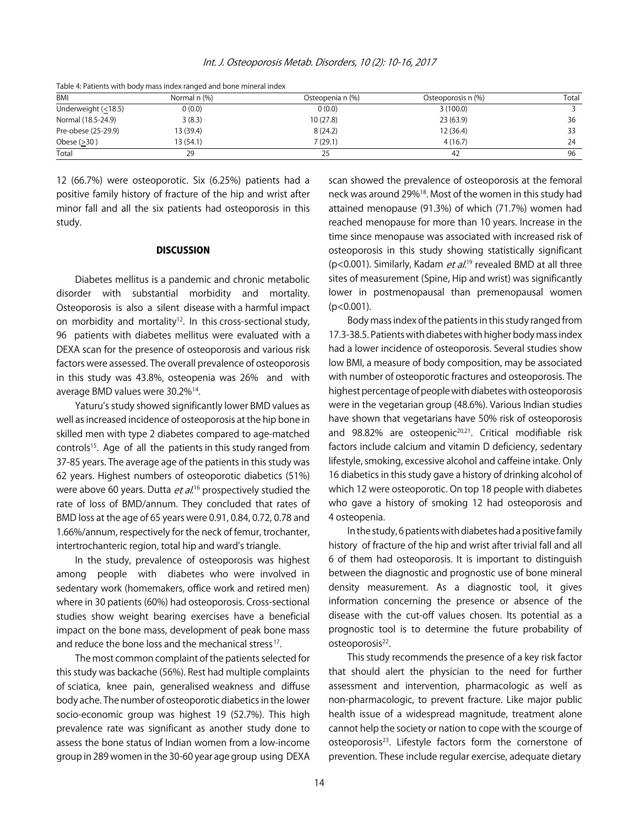Int. J. Osteoporosis Metab. Disorders, 10 (2): 10-16, 2017

| <b>BMI</b>          | Normal n (%) | Osteopenia n (%) | Osteoporosis n (%) | Total |
|---------------------|--------------|------------------|--------------------|-------|
| Underweight (<18.5) | 0(0.0)       | 0(0.0)           | 3(100.0)           |       |
| Normal (18.5-24.9)  | 3(8.3)       | 10 (27.8)        | 23 (63.9)          | 36    |
| Pre-obese (25-29.9) | 13 (39.4)    | 8(24.2)          | 12 (36.4)          | 33    |
| Obese $(>30)$       | 13 (54.1)    | 7(29.1)          | 4(16.7)            | 24    |
| Total               | 29           | 25               | 42                 | 96    |

Table 4: Patients with body mass index ranged and bone mineral index

12 (66.7%) were osteoporotic. Six (6.25%) patients had a positive family history of fracture of the hip and wrist after minor fall and all the six patients had osteoporosis in this study.

#### **DISCUSSION**

Diabetes mellitus is a pandemic and chronic metabolic disorder with substantial morbidity and mortality. Osteoporosis is also a silent disease with a harmful impact on morbidity and mortality<sup>12</sup>. In this cross-sectional study, 96 patients with diabetes mellitus were evaluated with a DEXA scan for the presence of osteoporosis and various risk factors were assessed. The overall prevalence of osteoporosis in this study was 43.8%, osteopenia was 26% and with average BMD values were 30.2%14.

Yaturu's study showed significantly lower BMD values as well as increased incidence of osteoporosis at the hip bone in skilled men with type 2 diabetes compared to age-matched controls<sup>15</sup>. Age of all the patients in this study ranged from 37-85 years. The average age of the patients in this study was 62 years. Highest numbers of osteoporotic diabetics (51%) were above 60 years. Dutta *et al*.<sup>16</sup> prospectively studied the rate of loss of BMD/annum. They concluded that rates of BMD loss at the age of 65 years were 0.91, 0.84, 0.72, 0.78 and 1.66%/annum, respectively for the neck of femur, trochanter, intertrochanteric region, total hip and ward's triangle.

In the study, prevalence of osteoporosis was highest among people with diabetes who were involved in sedentary work (homemakers, office work and retired men) where in 30 patients (60%) had osteoporosis. Cross-sectional studies show weight bearing exercises have a beneficial impact on the bone mass, development of peak bone mass and reduce the bone loss and the mechanical stress<sup>17</sup>.

The most common complaint of the patients selected for this study was backache (56%). Rest had multiple complaints of sciatica, knee pain, generalised weakness and diffuse body ache. The number of osteoporotic diabetics in the lower socio-economic group was highest 19 (52.7%). This high prevalence rate was significant as another study done to assess the bone status of Indian women from a low-income group in 289 women in the 30-60 year age group using DEXA

scan showed the prevalence of osteoporosis at the femoral neck was around 29%18. Most of the women in this study had attained menopause (91.3%) of which (71.7%) women had reached menopause for more than 10 years. Increase in the time since menopause was associated with increased risk of osteoporosis in this study showing statistically significant ( $p$ <0.001). Similarly, Kadam et  $al^{19}$  revealed BMD at all three sites of measurement (Spine, Hip and wrist) was significantly lower in postmenopausal than premenopausal women  $(p<0.001)$ .

Body mass index of the patients in this study ranged from 17.3-38.5. Patients with diabetes with higher body mass index had a lower incidence of osteoporosis. Several studies show low BMI, a measure of body composition, may be associated with number of osteoporotic fractures and osteoporosis. The highest percentage of people with diabetes with osteoporosis were in the vegetarian group (48.6%). Various Indian studies have shown that vegetarians have 50% risk of osteoporosis and 98.82% are osteopenic<sup>20,21</sup>. Critical modifiable risk factors include calcium and vitamin D deficiency, sedentary lifestyle, smoking, excessive alcohol and caffeine intake. Only 16 diabetics in this study gave a history of drinking alcohol of which 12 were osteoporotic. On top 18 people with diabetes who gave a history of smoking 12 had osteoporosis and 4 osteopenia.

In the study, 6 patients with diabetes had a positive family history of fracture of the hip and wrist after trivial fall and all 6 of them had osteoporosis. It is important to distinguish between the diagnostic and prognostic use of bone mineral density measurement. As a diagnostic tool, it gives information concerning the presence or absence of the disease with the cut-off values chosen. Its potential as a prognostic tool is to determine the future probability of osteoporosis<sup>22</sup>.

This study recommends the presence of a key risk factor that should alert the physician to the need for further assessment and intervention, pharmacologic as well as non-pharmacologic, to prevent fracture. Like major public health issue of a widespread magnitude, treatment alone cannot help the society or nation to cope with the scourge of osteoporosis<sup>23</sup>. Lifestyle factors form the cornerstone of prevention. These include regular exercise, adequate dietary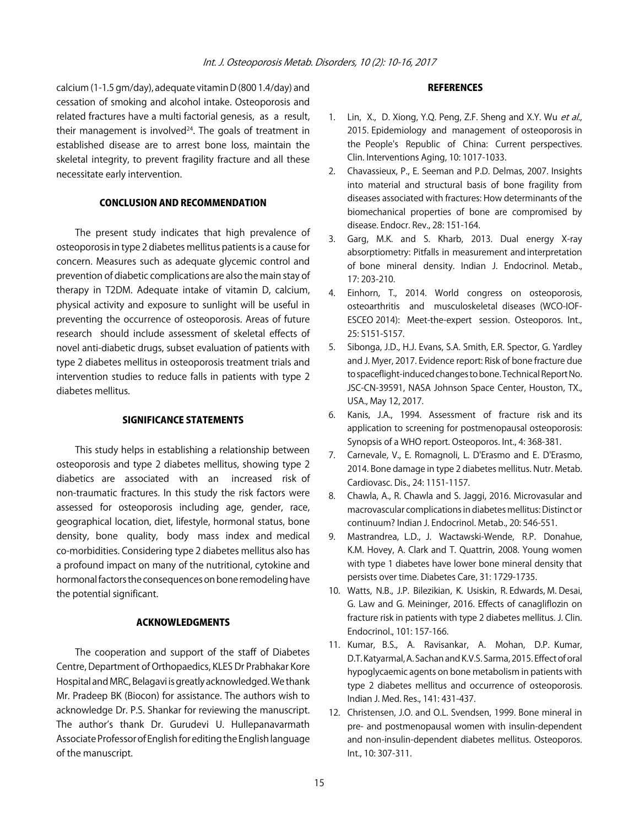calcium (1-1.5 gm/day), adequate vitamin D (800 1.4/day) and cessation of smoking and alcohol intake. Osteoporosis and related fractures have a multi factorial genesis, as a result, their management is involved $24$ . The goals of treatment in established disease are to arrest bone loss, maintain the skeletal integrity, to prevent fragility fracture and all these necessitate early intervention.

#### CONCLUSION AND RECOMMENDATION

The present study indicates that high prevalence of osteoporosis in type 2 diabetes mellitus patients is a cause for concern. Measures such as adequate glycemic control and prevention of diabetic complications are also the main stay of therapy in T2DM. Adequate intake of vitamin D, calcium, physical activity and exposure to sunlight will be useful in preventing the occurrence of osteoporosis. Areas of future research should include assessment of skeletal effects of novel anti-diabetic drugs, subset evaluation of patients with type 2 diabetes mellitus in osteoporosis treatment trials and intervention studies to reduce falls in patients with type 2 diabetes mellitus.

#### SIGNIFICANCE STATEMENTS

This study helps in establishing a relationship between osteoporosis and type 2 diabetes mellitus, showing type 2 diabetics are associated with an increased risk of non-traumatic fractures. In this study the risk factors were assessed for osteoporosis including age, gender, race, geographical location, diet, lifestyle, hormonal status, bone density, bone quality, body mass index and medical co-morbidities. Considering type 2 diabetes mellitus also has a profound impact on many of the nutritional, cytokine and hormonal factors the consequences on bone remodeling have the potential significant.

#### ACKNOWLEDGMENTS

The cooperation and support of the staff of Diabetes Centre, Department of Orthopaedics, KLES Dr Prabhakar Kore Hospital and MRC, Belagavi is greatly acknowledged. We thank Mr. Pradeep BK (Biocon) for assistance. The authors wish to acknowledge Dr. P.S. Shankar for reviewing the manuscript. The author's thank Dr. Gurudevi U. Hullepanavarmath Associate Professor of English for editing the English language of the manuscript.

#### **REFERENCES**

- 1. Lin, X., D. Xiong, Y.Q. Peng, Z.F. Sheng and X.Y. Wu et al., 2015. Epidemiology and management of osteoporosis in the People's Republic of China: Current perspectives. Clin. Interventions Aging, 10: 1017-1033.
- 2. Chavassieux, P., E. Seeman and P.D. Delmas, 2007. Insights into material and structural basis of bone fragility from diseases associated with fractures: How determinants of the biomechanical properties of bone are compromised by disease. Endocr. Rev., 28: 151-164.
- 3. Garg, M.K. and S. Kharb, 2013. Dual energy X-ray absorptiometry: Pitfalls in measurement and interpretation of bone mineral density. Indian J. Endocrinol. Metab., 17: 203-210.
- 4. Einhorn, T., 2014. World congress on osteoporosis, osteoarthritis and musculoskeletal diseases (WCO-IOF-ESCEO 2014): Meet-the-expert session. Osteoporos. Int., 25: S151-S157.
- 5. Sibonga, J.D., H.J. Evans, S.A. Smith, E.R. Spector, G. Yardley and J. Myer, 2017. Evidence report: Risk of bone fracture due to spaceflight-induced changes to bone. Technical Report No. JSC-CN-39591, NASA Johnson Space Center, Houston, TX., USA., May 12, 2017.
- 6. Kanis, J.A., 1994. Assessment of fracture risk and its application to screening for postmenopausal osteoporosis: Synopsis of a WHO report. Osteoporos. Int., 4: 368-381.
- 7. Carnevale, V., E. Romagnoli, L. D'Erasmo and E. D'Erasmo, 2014. Bone damage in type 2 diabetes mellitus. Nutr. Metab. Cardiovasc. Dis., 24: 1151-1157.
- 8. Chawla, A., R. Chawla and S. Jaggi, 2016. Microvasular and macrovascular complications in diabetes mellitus: Distinct or continuum? Indian J. Endocrinol. Metab., 20: 546-551.
- 9. Mastrandrea, L.D., J. Wactawski-Wende, R.P. Donahue, K.M. Hovey, A. Clark and T. Quattrin, 2008. Young women with type 1 diabetes have lower bone mineral density that persists over time. Diabetes Care, 31: 1729-1735.
- 10. Watts, N.B., J.P. Bilezikian, K. Usiskin, R. Edwards, M. Desai, G. Law and G. Meininger, 2016. Effects of canagliflozin on fracture risk in patients with type 2 diabetes mellitus. J. Clin. Endocrinol., 101: 157-166.
- 11. Kumar, B.S., A. Ravisankar, A. Mohan, D.P. Kumar, D.T. Katyarmal, A. Sachan and K.V.S. Sarma, 2015. Effect of oral hypoglycaemic agents on bone metabolism in patients with type 2 diabetes mellitus and occurrence of osteoporosis. Indian J. Med. Res., 141: 431-437.
- 12. Christensen, J.O. and O.L. Svendsen, 1999. Bone mineral in pre- and postmenopausal women with insulin-dependent and non-insulin-dependent diabetes mellitus. Osteoporos. Int., 10: 307-311.